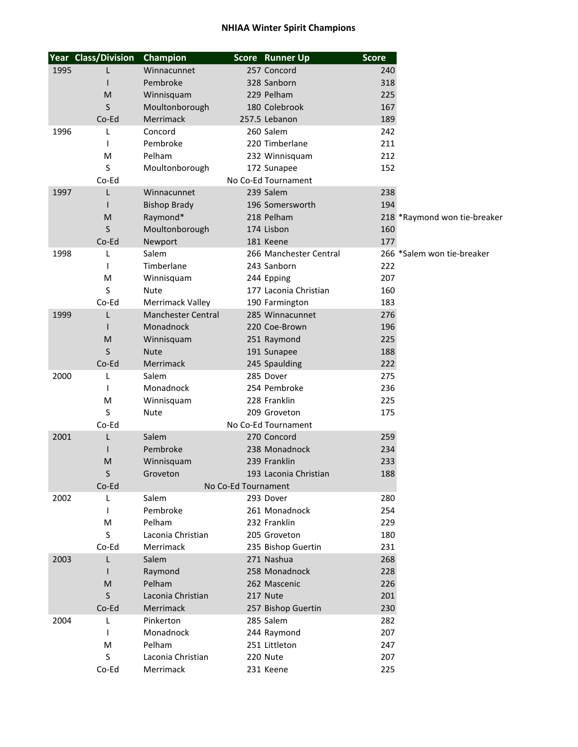## **NHIAA Winter Spirit Champions**

|                              | <b>Year Class/Division</b> | Champion                                      |                     | Score Runner Up        | <b>Score</b> |                              |
|------------------------------|----------------------------|-----------------------------------------------|---------------------|------------------------|--------------|------------------------------|
| 1995                         |                            | Winnacunnet                                   |                     | 257 Concord            | 240          |                              |
|                              |                            | Pembroke                                      |                     | 328 Sanborn            | 318          |                              |
|                              | M                          | Winnisquam                                    |                     | 229 Pelham             | 225          |                              |
|                              | S                          | Moultonborough                                |                     | 180 Colebrook          | 167          |                              |
|                              | Co-Ed                      | <b>Merrimack</b>                              |                     | 257.5 Lebanon          | 189          |                              |
| 1996                         | L                          | Concord                                       |                     | 260 Salem              | 242          |                              |
|                              | 1                          | Pembroke                                      |                     | 220 Timberlane         | 211          |                              |
|                              | M                          | Pelham                                        |                     | 232 Winnisquam         | 212          |                              |
|                              | S                          | Moultonborough                                |                     | 172 Sunapee            | 152          |                              |
|                              | Co-Ed                      |                                               |                     | No Co-Ed Tournament    |              |                              |
| 1997                         | L                          | Winnacunnet                                   |                     | 239 Salem              | 238          |                              |
|                              |                            | <b>Bishop Brady</b>                           |                     | 196 Somersworth        | 194          |                              |
|                              | M                          | Raymond*                                      |                     | 218 Pelham             |              | 218 *Raymond won tie-breaker |
|                              | S                          | Moultonborough                                |                     | 174 Lisbon             | 160          |                              |
|                              | Co-Ed                      | Newport                                       |                     | 181 Keene              | 177          |                              |
| 1998                         | L                          | Salem                                         |                     | 266 Manchester Central |              | 266 *Salem won tie-breaker   |
|                              |                            | Timberlane                                    |                     | 243 Sanborn            | 222          |                              |
|                              | M                          | Winnisquam                                    |                     | 244 Epping             | 207          |                              |
|                              | S                          | Nute                                          |                     | 177 Laconia Christian  | 160          |                              |
|                              | Co-Ed                      |                                               |                     |                        | 183          |                              |
|                              |                            | Merrimack Valley<br><b>Manchester Central</b> |                     | 190 Farmington         | 276          |                              |
| 1999                         | L                          |                                               |                     | 285 Winnacunnet        |              |                              |
|                              |                            | Monadnock                                     |                     | 220 Coe-Brown          | 196          |                              |
|                              | M                          | Winnisquam                                    |                     | 251 Raymond            | 225          |                              |
|                              | S                          | <b>Nute</b>                                   |                     | 191 Sunapee            | 188          |                              |
|                              | Co-Ed                      | Merrimack                                     |                     | 245 Spaulding          | 222          |                              |
| 2000                         | L                          | Salem                                         |                     | 285 Dover              | 275          |                              |
|                              | I.                         | Monadnock                                     |                     | 254 Pembroke           | 236          |                              |
|                              | M                          | Winnisquam                                    |                     | 228 Franklin           | 225          |                              |
|                              | S                          | <b>Nute</b>                                   |                     | 209 Groveton           | 175          |                              |
| Co-Ed<br>No Co-Ed Tournament |                            |                                               |                     |                        |              |                              |
| 2001                         | L                          | Salem                                         |                     | 270 Concord            | 259          |                              |
|                              |                            | Pembroke                                      |                     | 238 Monadnock          | 234          |                              |
|                              | M                          | Winnisquam                                    |                     | 239 Franklin           | 233          |                              |
|                              | S                          | Groveton                                      |                     | 193 Laconia Christian  | 188          |                              |
|                              | Co-Ed                      |                                               | No Co-Ed Tournament |                        |              |                              |
| 2002                         | L                          | Salem                                         |                     | 293 Dover              | 280          |                              |
|                              | T                          | Pembroke                                      |                     | 261 Monadnock          | 254          |                              |
|                              | M                          | Pelham                                        |                     | 232 Franklin           | 229          |                              |
|                              | S                          | Laconia Christian                             |                     | 205 Groveton           | 180          |                              |
|                              | Co-Ed                      | Merrimack                                     |                     | 235 Bishop Guertin     | 231          |                              |
| 2003                         | L                          | Salem                                         |                     | 271 Nashua             | 268          |                              |
|                              |                            | Raymond                                       |                     | 258 Monadnock          | 228          |                              |
|                              | M                          | Pelham                                        |                     | 262 Mascenic           | 226          |                              |
|                              | S                          | Laconia Christian                             |                     | 217 Nute               | 201          |                              |
|                              | Co-Ed                      | Merrimack                                     |                     | 257 Bishop Guertin     | 230          |                              |
| 2004                         | L                          | Pinkerton                                     |                     | 285 Salem              | 282          |                              |
|                              |                            | Monadnock                                     |                     | 244 Raymond            | 207          |                              |
|                              | M                          | Pelham                                        |                     | 251 Littleton          | 247          |                              |
|                              | S                          | Laconia Christian                             |                     | 220 Nute               | 207          |                              |
|                              | Co-Ed                      | Merrimack                                     |                     | 231 Keene              | 225          |                              |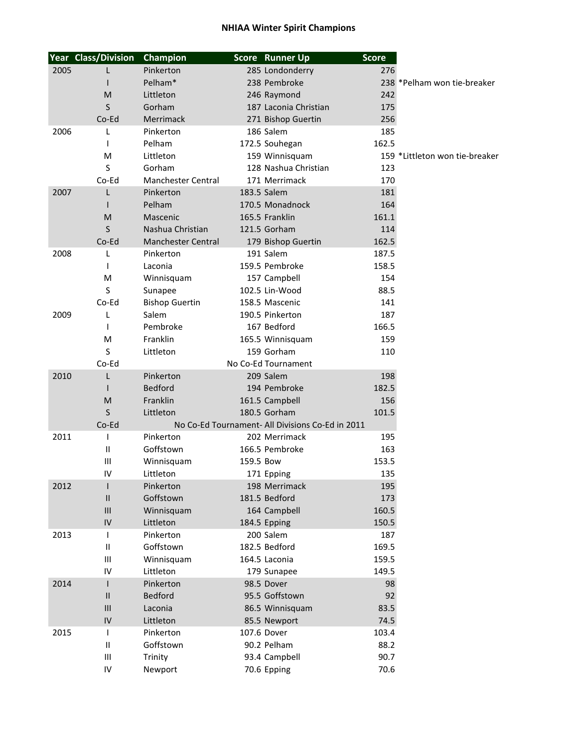## **NHIAA Winter Spirit Champions**

|      | <b>Year Class/Division</b> | Champion                  |           | Score Runner Up                                  | <b>Score</b> |                                |
|------|----------------------------|---------------------------|-----------|--------------------------------------------------|--------------|--------------------------------|
| 2005 |                            | Pinkerton                 |           | 285 Londonderry                                  | 276          |                                |
|      |                            | Pelham*                   |           | 238 Pembroke                                     |              | 238 *Pelham won tie-breaker    |
|      | M                          | Littleton                 |           | 246 Raymond                                      | 242          |                                |
|      | S                          | Gorham                    |           | 187 Laconia Christian                            | 175          |                                |
|      | Co-Ed                      | Merrimack                 |           | 271 Bishop Guertin                               | 256          |                                |
| 2006 | L                          | Pinkerton                 |           | 186 Salem                                        | 185          |                                |
|      | T                          | Pelham                    |           | 172.5 Souhegan                                   | 162.5        |                                |
|      | M                          | Littleton                 |           | 159 Winnisquam                                   |              | 159 *Littleton won tie-breaker |
|      | S                          | Gorham                    |           | 128 Nashua Christian                             | 123          |                                |
|      | Co-Ed                      | Manchester Central        |           | 171 Merrimack                                    | 170          |                                |
| 2007 | L                          | Pinkerton                 |           | 183.5 Salem                                      | 181          |                                |
|      |                            | Pelham                    |           | 170.5 Monadnock                                  | 164          |                                |
|      | M                          | Mascenic                  |           | 165.5 Franklin                                   | 161.1        |                                |
|      | S                          | Nashua Christian          |           | 121.5 Gorham                                     | 114          |                                |
|      | Co-Ed                      | <b>Manchester Central</b> |           | 179 Bishop Guertin                               | 162.5        |                                |
| 2008 | L                          | Pinkerton                 |           | 191 Salem                                        | 187.5        |                                |
|      | T                          | Laconia                   |           | 159.5 Pembroke                                   | 158.5        |                                |
|      | M                          | Winnisquam                |           | 157 Campbell                                     | 154          |                                |
|      | S                          | Sunapee                   |           | 102.5 Lin-Wood                                   | 88.5         |                                |
|      | Co-Ed                      | <b>Bishop Guertin</b>     |           | 158.5 Mascenic                                   | 141          |                                |
| 2009 | L                          | Salem                     |           | 190.5 Pinkerton                                  | 187          |                                |
|      | T                          | Pembroke                  |           | 167 Bedford                                      | 166.5        |                                |
|      | M                          | Franklin                  |           | 165.5 Winnisquam                                 | 159          |                                |
|      | S                          | Littleton                 |           | 159 Gorham                                       | 110          |                                |
|      | Co-Ed                      |                           |           | No Co-Ed Tournament                              |              |                                |
| 2010 | L                          | Pinkerton                 |           | 209 Salem                                        | 198          |                                |
|      |                            | <b>Bedford</b>            |           | 194 Pembroke                                     | 182.5        |                                |
|      | M                          | Franklin                  |           | 161.5 Campbell                                   | 156          |                                |
|      | S                          | Littleton                 |           | 180.5 Gorham                                     | 101.5        |                                |
|      | Co-Ed                      |                           |           | No Co-Ed Tournament- All Divisions Co-Ed in 2011 |              |                                |
| 2011 | ı                          | Pinkerton                 |           | 202 Merrimack                                    | 195          |                                |
|      | $\mathbf{H}$               | Goffstown                 |           | 166.5 Pembroke                                   | 163          |                                |
|      | III                        | Winnisquam                | 159.5 Bow |                                                  | 153.5        |                                |
|      | IV                         | Littleton                 |           | 171 Epping                                       | 135          |                                |
| 2012 |                            | Pinkerton                 |           | 198 Merrimack                                    | 195          |                                |
|      | Ш                          | Goffstown                 |           | 181.5 Bedford                                    | 173          |                                |
|      | III                        | Winnisquam                |           | 164 Campbell                                     | 160.5        |                                |
|      | IV                         | Littleton                 |           | 184.5 Epping                                     | 150.5        |                                |
| 2013 | T                          | Pinkerton                 |           | 200 Salem                                        | 187          |                                |
|      | Ш                          | Goffstown                 |           | 182.5 Bedford                                    | 169.5        |                                |
|      | $\mathsf{III}$             | Winnisquam                |           | 164.5 Laconia                                    | 159.5        |                                |
|      | IV                         | Littleton                 |           | 179 Sunapee                                      | 149.5        |                                |
| 2014 |                            | Pinkerton                 |           | 98.5 Dover                                       | 98           |                                |
|      | Ш                          | <b>Bedford</b>            |           | 95.5 Goffstown                                   | 92           |                                |
|      | III                        | Laconia                   |           | 86.5 Winnisquam                                  | 83.5         |                                |
|      | IV                         | Littleton                 |           | 85.5 Newport                                     | 74.5         |                                |
| 2015 | T                          | Pinkerton                 |           | 107.6 Dover                                      | 103.4        |                                |
|      | Ш                          | Goffstown                 |           | 90.2 Pelham                                      | 88.2         |                                |
|      | $\mathsf{III}$             | Trinity                   |           | 93.4 Campbell                                    | 90.7         |                                |
|      | IV                         | Newport                   |           | 70.6 Epping                                      | 70.6         |                                |